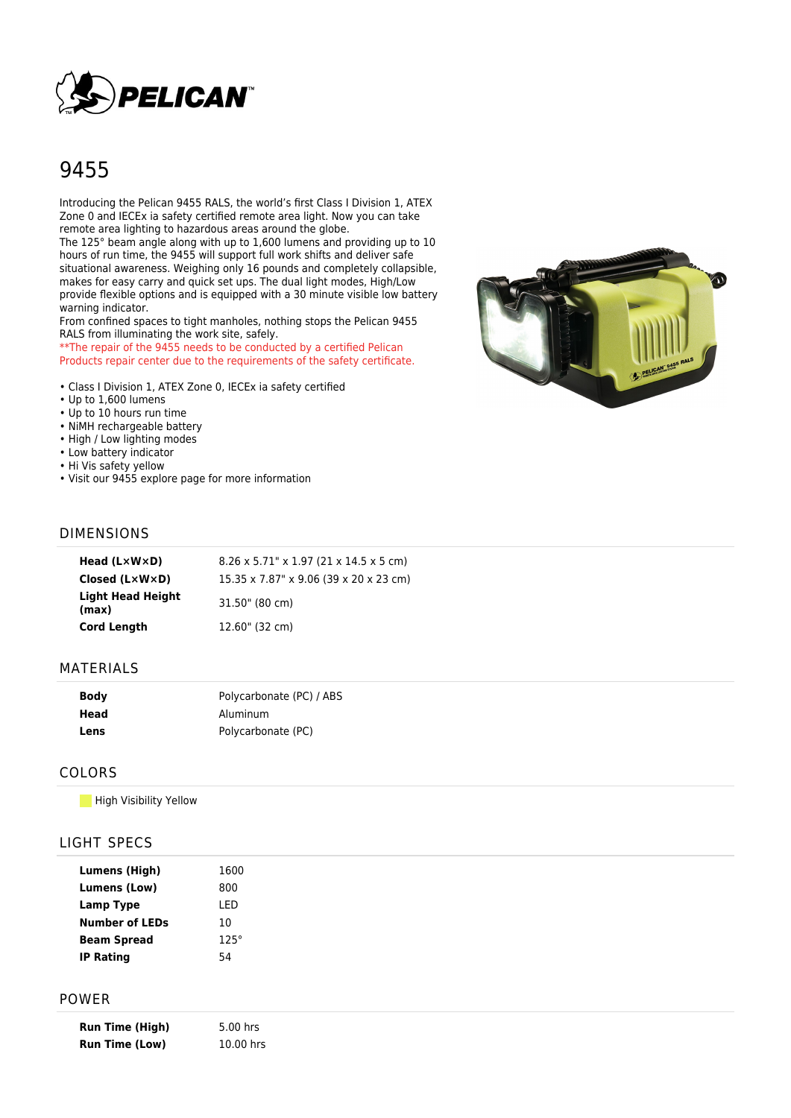

# 9455

Introducing the Pelican 9455 RALS, the world's first Class I Division 1, ATEX Zone 0 and IECEx ia safety certified remote area light. Now you can take remote area lighting to hazardous areas around the globe.

The 125° beam angle along with up to 1,600 lumens and providing up to 10 hours of run time, the 9455 will support full work shifts and deliver safe situational awareness. Weighing only 16 pounds and completely collapsible, makes for easy carry and quick set ups. The dual light modes, High/Low provide flexible options and is equipped with a 30 minute visible low battery warning indicator.

From confined spaces to tight manholes, nothing stops the Pelican 9455 RALS from illuminating the work site, safely.

\*\*The repair of the 9455 needs to be conducted by a certified Pelican Products repair center due to the requirements of the safety certificate.

- Class I Division 1, ATEX Zone 0, IECEx ia safety certified
- Up to 1,600 lumens
- Up to 10 hours run time
- NiMH rechargeable battery
- High / Low lighting modes
- Low battery indicator
- Hi Vis safety yellow
- Visit our 9455 explore page for more information



#### DIMENSIONS

| Head $(L \times W \times D)$   | $8.26 \times 5.71$ " x 1.97 (21 x 14.5 x 5 cm) |
|--------------------------------|------------------------------------------------|
| Closed $(L \times W \times D)$ | 15.35 x 7.87" x 9.06 (39 x 20 x 23 cm)         |
| Light Head Height<br>(max)     | 31.50" (80 cm)                                 |
| <b>Cord Length</b>             | 12.60" (32 cm)                                 |

#### MATERIALS

| <b>Body</b> | Polycarbonate (PC) / ABS |
|-------------|--------------------------|
| Head        | Aluminum                 |
| Lens        | Polycarbonate (PC)       |

#### COLORS

**High Visibility Yellow** 

# LIGHT SPECS

| Lumens (High)         | 1600        |
|-----------------------|-------------|
| Lumens (Low)          | 800         |
| <b>Lamp Type</b>      | I FD        |
| <b>Number of LEDs</b> | 10          |
| <b>Beam Spread</b>    | $125^\circ$ |
| <b>IP Rating</b>      | 54          |

#### POWER

| <b>Run Time (High)</b> | 5.00 hrs  |
|------------------------|-----------|
| <b>Run Time (Low)</b>  | 10.00 hrs |